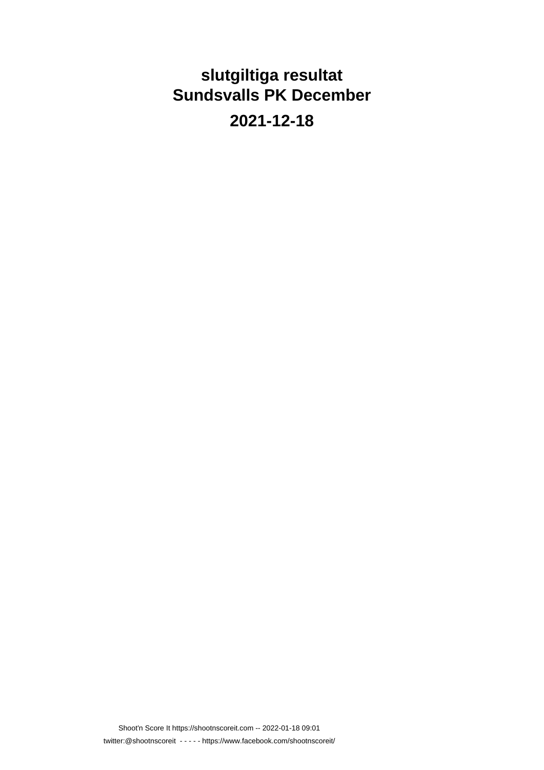### **slutgiltiga resultat Sundsvalls PK December**

**2021-12-18**

Shoot'n Score It https://shootnscoreit.com -- 2022-01-18 09:01 twitter:@shootnscoreit - - - - - https://www.facebook.com/shootnscoreit/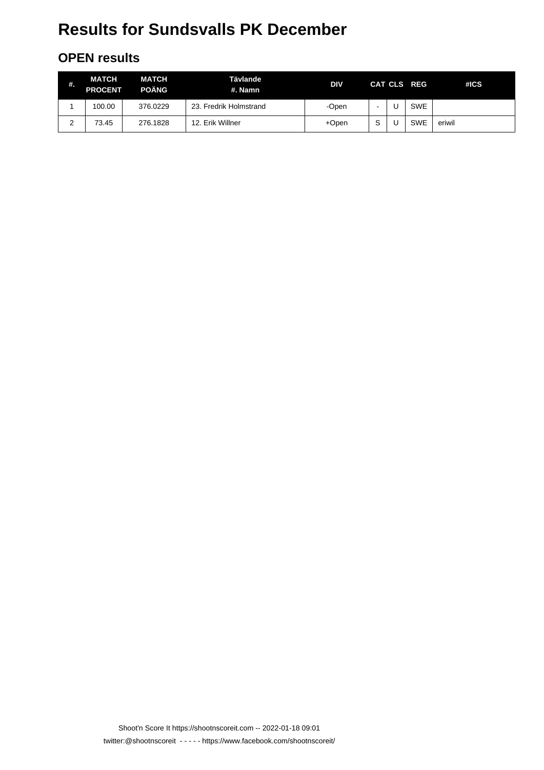#### **OPEN results**

| #.     | <b>MATCH</b><br><b>PROCENT</b> | <b>MATCH</b><br><b>POÄNG</b> | Tävlande<br>#. Namn    | DIV   |   | CAT CLS REG | #ICS   |
|--------|--------------------------------|------------------------------|------------------------|-------|---|-------------|--------|
|        | 100.00                         | 376.0229                     | 23. Fredrik Holmstrand | -Open |   | <b>SWE</b>  |        |
| ົ<br>∠ | 73.45                          | 276.1828                     | 12. Erik Willner       | +Open | S | <b>SWE</b>  | eriwil |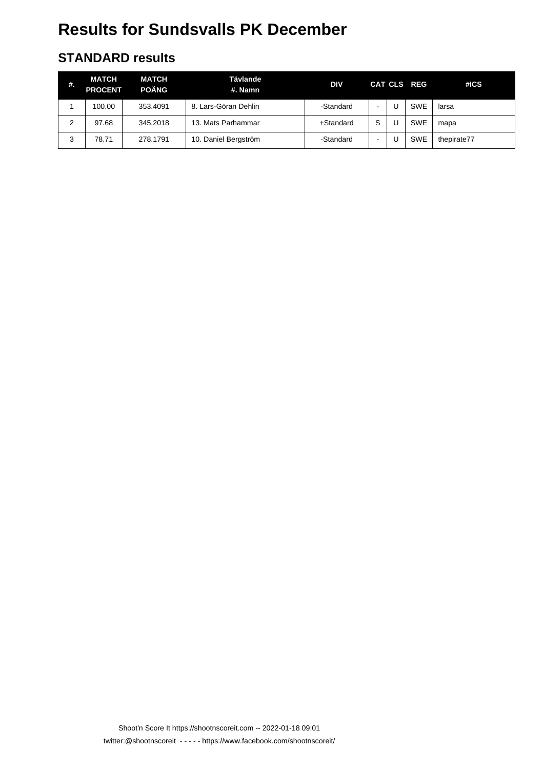#### **STANDARD results**

| #. | <b>MATCH</b><br><b>PROCENT</b> | <b>MATCH</b><br><b>POÄNG</b> | Tävlande<br>#. Namn  | <b>DIV</b> |                          | CAT CLS REG | #ICS        |
|----|--------------------------------|------------------------------|----------------------|------------|--------------------------|-------------|-------------|
|    | 100.00                         | 353.4091                     | 8. Lars-Göran Dehlin | -Standard  | $\,$                     | <b>SWE</b>  | larsa       |
| 2  | 97.68                          | 345.2018                     | 13. Mats Parhammar   | +Standard  | S                        | <b>SWE</b>  | mapa        |
| 3  | 78.71                          | 278.1791                     | 10. Daniel Bergström | -Standard  | $\overline{\phantom{a}}$ | <b>SWE</b>  | thepirate77 |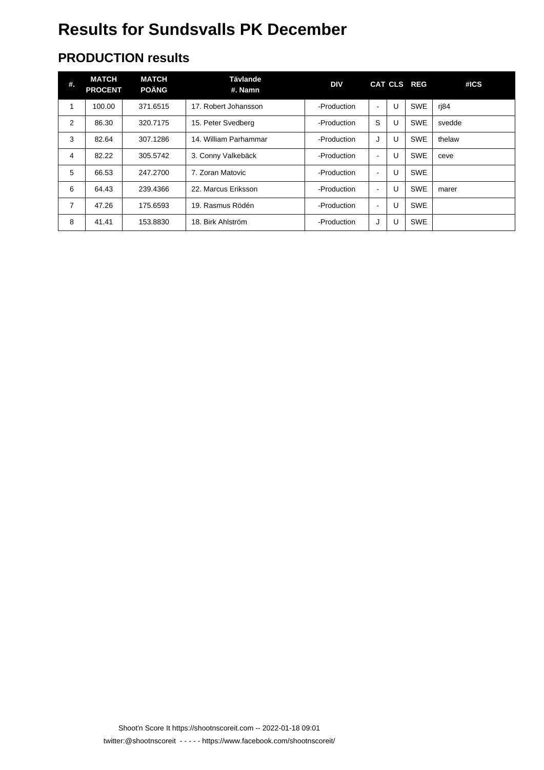#### **PRODUCTION results**

| #. | <b>MATCH</b><br><b>PROCENT</b> | <b>MATCH</b><br><b>POÄNG</b> | <b>Tävlande</b><br>#. Namn | <b>DIV</b>  |                          |   | CAT CLS REG | #ICS   |
|----|--------------------------------|------------------------------|----------------------------|-------------|--------------------------|---|-------------|--------|
|    | 100.00                         | 371.6515                     | 17. Robert Johansson       | -Production | $\overline{\phantom{a}}$ | U | <b>SWE</b>  | rj84   |
| 2  | 86.30                          | 320.7175                     | 15. Peter Svedberg         | -Production | S                        | U | <b>SWE</b>  | svedde |
| 3  | 82.64                          | 307.1286                     | 14. William Parhammar      | -Production | J                        | U | <b>SWE</b>  | thelaw |
| 4  | 82.22                          | 305.5742                     | 3. Conny Valkebäck         | -Production | $\blacksquare$           | U | <b>SWE</b>  | ceve   |
| 5  | 66.53                          | 247.2700                     | 7. Zoran Matovic           | -Production | $\sim$                   | U | <b>SWE</b>  |        |
| 6  | 64.43                          | 239.4366                     | 22. Marcus Eriksson        | -Production | $\overline{\phantom{a}}$ | U | <b>SWE</b>  | marer  |
| 7  | 47.26                          | 175.6593                     | 19. Rasmus Rödén           | -Production | $\blacksquare$           | U | <b>SWE</b>  |        |
| 8  | 41.41                          | 153.8830                     | 18. Birk Ahlström          | -Production | J                        | U | <b>SWE</b>  |        |